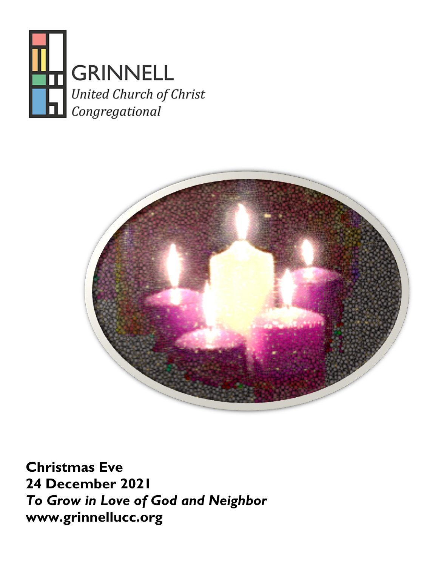



**Christmas Eve 24 December 2021** *To Grow in Love of God and Neighbor* **[www.grinnellucc.org](http://www.grinnellucc.org/)**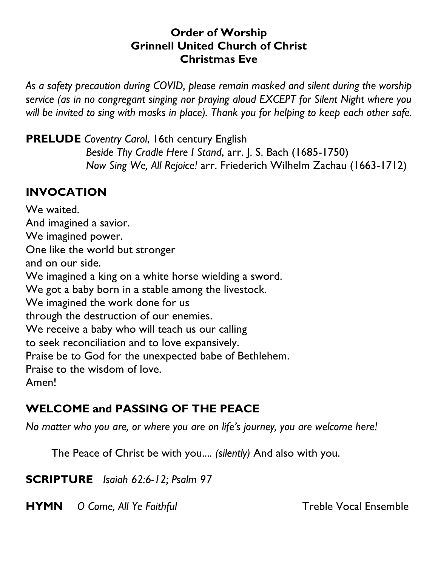#### **Order of Worship Grinnell United Church of Christ Christmas Eve**

*As a safety precaution during COVID, please remain masked and silent during the worship service (as in no congregant singing nor praying aloud EXCEPT for Silent Night where you will be invited to sing with masks in place). Thank you for helping to keep each other safe.*

**PRELUDE** *Coventry Carol*, 16th century English *Beside Thy Cradle Here I Stand*, arr. J. S. Bach (1685-1750) *Now Sing We, All Rejoice!* arr. Friederich Wilhelm Zachau (1663-1712)

### **INVOCATION**

We waited. And imagined a savior. We imagined power. One like the world but stronger and on our side. We imagined a king on a white horse wielding a sword. We got a baby born in a stable among the livestock. We imagined the work done for us through the destruction of our enemies. We receive a baby who will teach us our calling to seek reconciliation and to love expansively. Praise be to God for the unexpected babe of Bethlehem. Praise to the wisdom of love. Amen!

# **WELCOME and PASSING OF THE PEACE**

*No matter who you are, or where you are on life's journey, you are welcome here!*

The Peace of Christ be with you.... *(silently)* And also with you.

**SCRIPTURE** *Isaiah 62:6-12; Psalm 97*

**HYMN** *O Come, All Ye Faithful* **Treble Vocal Ensemble**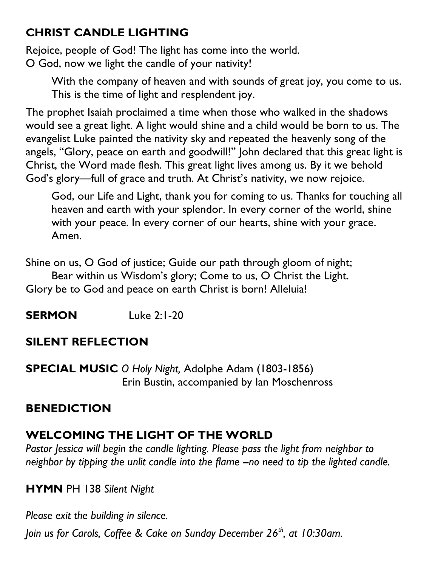# **CHRIST CANDLE LIGHTING**

Rejoice, people of God! The light has come into the world. O God, now we light the candle of your nativity!

With the company of heaven and with sounds of great joy, you come to us. This is the time of light and resplendent joy.

The prophet Isaiah proclaimed a time when those who walked in the shadows would see a great light. A light would shine and a child would be born to us. The evangelist Luke painted the nativity sky and repeated the heavenly song of the angels, "Glory, peace on earth and goodwill!" John declared that this great light is Christ, the Word made flesh. This great light lives among us. By it we behold God's glory—full of grace and truth. At Christ's nativity, we now rejoice.

God, our Life and Light, thank you for coming to us. Thanks for touching all heaven and earth with your splendor. In every corner of the world, shine with your peace. In every corner of our hearts, shine with your grace. Amen.

Shine on us, O God of justice; Guide our path through gloom of night; Bear within us Wisdom's glory; Come to us, O Christ the Light. Glory be to God and peace on earth Christ is born! Alleluia!

**SERMON** Luke 2:1-20

# **SILENT REFLECTION**

**SPECIAL MUSIC** *O Holy Night,* Adolphe Adam (1803-1856) Erin Bustin, accompanied by Ian Moschenross

# **BENEDICTION**

# **WELCOMING THE LIGHT OF THE WORLD**

*Pastor Jessica will begin the candle lighting. Please pass the light from neighbor to neighbor by tipping the unlit candle into the flame --no need to tip the lighted candle.*

#### **HYMN** PH 138 *Silent Night*

*Please exit the building in silence.* 

*Join us for Carols, Coffee & Cake on Sunday December 26th, at 10:30am.*